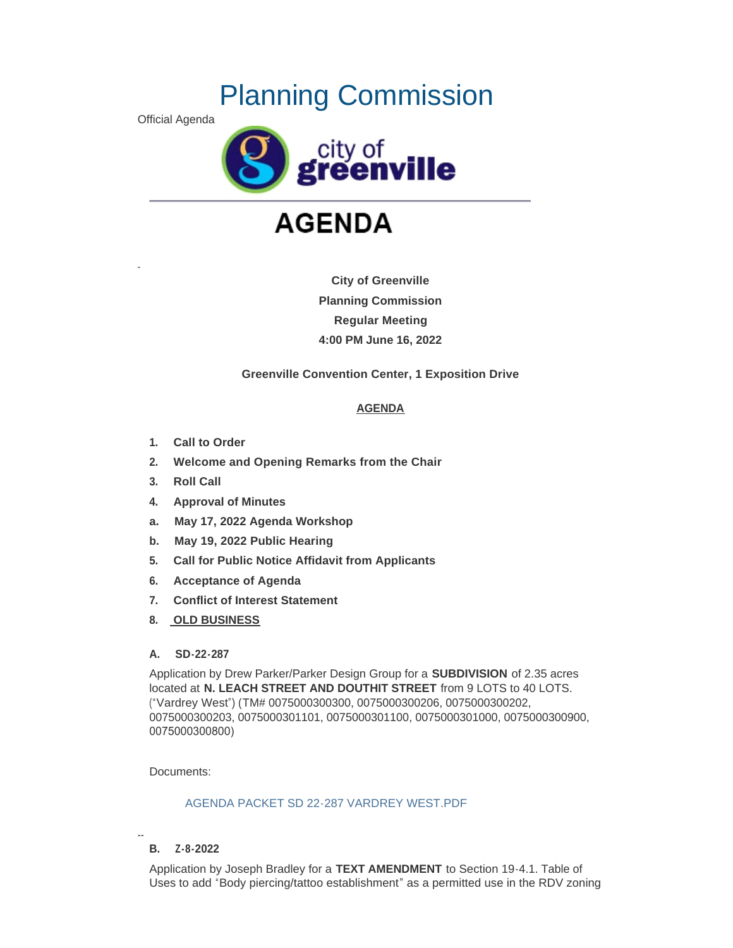# Planning Commission

Official Agenda

-



# **AGENDA**

**City of Greenville Planning Commission Regular Meeting 4:00 PM June 16, 2022**

**Greenville Convention Center, 1 Exposition Drive**

# **AGENDA**

- **1. Call to Order**
- **2. Welcome and Opening Remarks from the Chair**
- **3. Roll Call**
- **4. Approval of Minutes**
- **a. May 17, 2022 Agenda Workshop**
- **b. May 19, 2022 Public Hearing**
- **5. Call for Public Notice Affidavit from Applicants**
- **6. Acceptance of Agenda**
- **7. Conflict of Interest Statement**
- **8. OLD BUSINESS**

# **A. SD-22-287**

Application by Drew Parker/Parker Design Group for a **SUBDIVISION** of 2.35 acres located at **N. LEACH STREET AND DOUTHIT STREET** from 9 LOTS to 40 LOTS. ("Vardrey West") (TM# 0075000300300, 0075000300206, 0075000300202, 0075000300203, 0075000301101, 0075000301100, 0075000301000, 0075000300900, 0075000300800)

Documents:

# [AGENDA PACKET SD 22-287 VARDREY WEST.PDF](https://www.greenvillesc.gov/AgendaCenter/ViewFile/Item/9667?fileID=53226)

#### -- **B. Z-8-2022**

Application by Joseph Bradley for a **TEXT AMENDMENT** to Section 19-4.1. Table of Uses to add "Body piercing/tattoo establishment" as a permitted use in the RDV zoning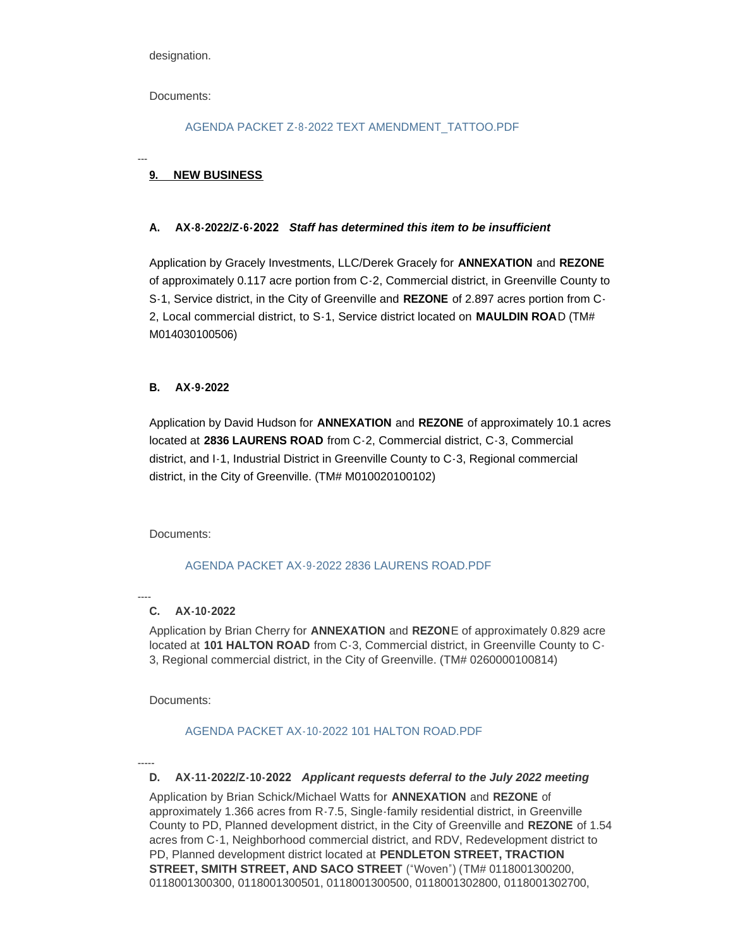designation.

Documents:

---

## [AGENDA PACKET Z-8-2022 TEXT AMENDMENT\\_TATTOO.PDF](https://www.greenvillesc.gov/AgendaCenter/ViewFile/Item/9668?fileID=53228)

# **9. NEW BUSINESS**

## **A. AX-8-2022/Z-6-2022** *Staff has determined this item to be insufficient*

Application by Gracely Investments, LLC/Derek Gracely for **ANNEXATION** and **REZONE** of approximately 0.117 acre portion from C-2, Commercial district, in Greenville County to S-1, Service district, in the City of Greenville and **REZONE** of 2.897 acres portion from C-2, Local commercial district, to S-1, Service district located on **MAULDIN ROA**D (TM# M014030100506)

## **B. AX-9-2022**

Application by David Hudson for **ANNEXATION** and **REZONE** of approximately 10.1 acres located at **2836 LAURENS ROAD** from C-2, Commercial district, C-3, Commercial district, and I-1, Industrial District in Greenville County to C-3, Regional commercial district, in the City of Greenville. (TM# M010020100102)

Documents:

#### [AGENDA PACKET AX-9-2022 2836 LAURENS ROAD.PDF](https://www.greenvillesc.gov/AgendaCenter/ViewFile/Item/9669?fileID=53230)

#### ---- **C. AX-10-2022**

Application by Brian Cherry for **ANNEXATION** and **REZON**E of approximately 0.829 acre located at **101 HALTON ROAD** from C-3, Commercial district, in Greenville County to C-3, Regional commercial district, in the City of Greenville. (TM# 0260000100814)

Documents:

# [AGENDA PACKET AX-10-2022 101 HALTON ROAD.PDF](https://www.greenvillesc.gov/AgendaCenter/ViewFile/Item/9670?fileID=53233)

-----

# **D. AX-11-2022/Z-10-2022** *Applicant requests deferral to the July 2022 meeting*

Application by Brian Schick/Michael Watts for **ANNEXATION** and **REZONE** of approximately 1.366 acres from R-7.5, Single-family residential district, in Greenville County to PD, Planned development district, in the City of Greenville and **REZONE** of 1.54 acres from C-1, Neighborhood commercial district, and RDV, Redevelopment district to PD, Planned development district located at **PENDLETON STREET, TRACTION STREET, SMITH STREET, AND SACO STREET** ("Woven") (TM# 0118001300200, 0118001300300, 0118001300501, 0118001300500, 0118001302800, 0118001302700,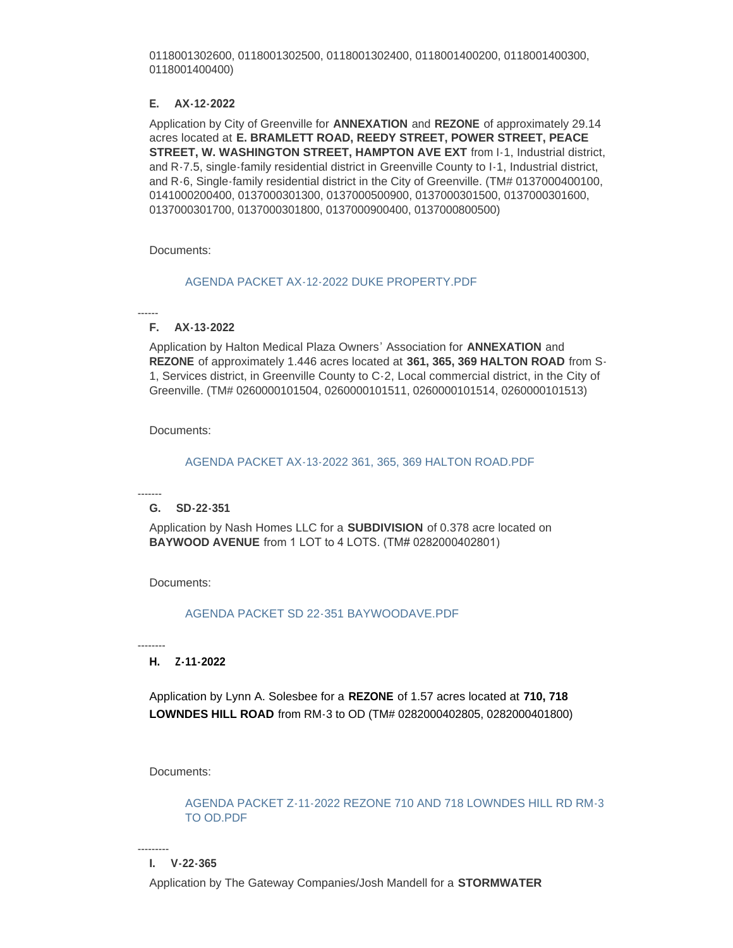0118001302600, 0118001302500, 0118001302400, 0118001400200, 0118001400300, 0118001400400)

#### **E. AX-12-2022**

Application by City of Greenville for **ANNEXATION** and **REZONE** of approximately 29.14 acres located at **E. BRAMLETT ROAD, REEDY STREET, POWER STREET, PEACE STREET, W. WASHINGTON STREET, HAMPTON AVE EXT** from I-1, Industrial district, and R-7.5, single-family residential district in Greenville County to I-1, Industrial district, and R-6, Single-family residential district in the City of Greenville. (TM# 0137000400100, 0141000200400, 0137000301300, 0137000500900, 0137000301500, 0137000301600, 0137000301700, 0137000301800, 0137000900400, 0137000800500)

Documents:

#### [AGENDA PACKET AX-12-2022 DUKE PROPERTY.PDF](https://www.greenvillesc.gov/AgendaCenter/ViewFile/Item/9671?fileID=53235)

------

## **F. AX-13-2022**

Application by Halton Medical Plaza Owners' Association for **ANNEXATION** and **REZONE** of approximately 1.446 acres located at **361, 365, 369 HALTON ROAD** from S-1, Services district, in Greenville County to C-2, Local commercial district, in the City of Greenville. (TM# 0260000101504, 0260000101511, 0260000101514, 0260000101513)

Documents:

## [AGENDA PACKET AX-13-2022 361, 365, 369 HALTON ROAD.PDF](https://www.greenvillesc.gov/AgendaCenter/ViewFile/Item/9672?fileID=53237)

#### ------- **G. SD-22-351**

Application by Nash Homes LLC for a **SUBDIVISION** of 0.378 acre located on **BAYWOOD AVENUE** from 1 LOT to 4 LOTS. (TM# 0282000402801)

Documents:

[AGENDA PACKET SD 22-351 BAYWOODAVE.PDF](https://www.greenvillesc.gov/AgendaCenter/ViewFile/Item/9673?fileID=53238)

--------

# **H. Z-11-2022**

Application by Lynn A. Solesbee for a **REZONE** of 1.57 acres located at **710, 718 LOWNDES HILL ROAD** from RM-3 to OD (TM# 0282000402805, 0282000401800)

Documents:

[AGENDA PACKET Z-11-2022 REZONE 710 AND 718 LOWNDES HILL RD RM-3](https://www.greenvillesc.gov/AgendaCenter/ViewFile/Item/9674?fileID=53240)  TO OD.PDF

--------- **I. V-22-365**

Application by The Gateway Companies/Josh Mandell for a **STORMWATER**